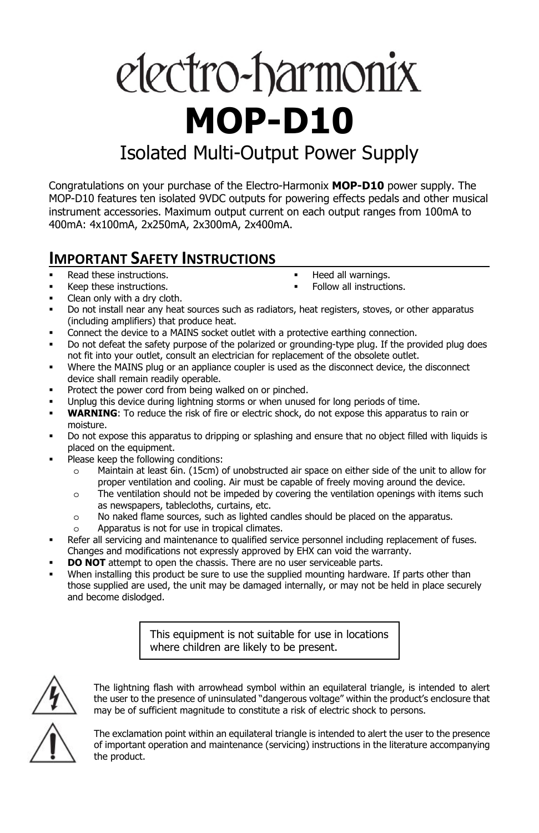# electro-harmonix **MOP-D10**

# Isolated Multi-Output Power Supply

Congratulations on your purchase of the Electro-Harmonix **MOP-D10** power supply. The MOP-D10 features ten isolated 9VDC outputs for powering effects pedals and other musical instrument accessories. Maximum output current on each output ranges from 100mA to 400mA: 4x100mA, 2x250mA, 2x300mA, 2x400mA.

### **IMPORTANT SAFETY INSTRUCTIONS**

- Read these instructions.
- Keep these instructions.

 Heed all warnings. Follow all instructions.

Clean only with a dry cloth.

- 
- Do not install near any heat sources such as radiators, heat registers, stoves, or other apparatus (including amplifiers) that produce heat.
- Connect the device to a MAINS socket outlet with a protective earthing connection.
- Do not defeat the safety purpose of the polarized or grounding-type plug. If the provided plug does not fit into your outlet, consult an electrician for replacement of the obsolete outlet.
- Where the MAINS plug or an appliance coupler is used as the disconnect device, the disconnect device shall remain readily operable.
- **•** Protect the power cord from being walked on or pinched.
- Unplug this device during lightning storms or when unused for long periods of time.
- **WARNING**: To reduce the risk of fire or electric shock, do not expose this apparatus to rain or moisture.
- Do not expose this apparatus to dripping or splashing and ensure that no object filled with liquids is placed on the equipment.
- Please keep the following conditions:
	- o Maintain at least 6in. (15cm) of unobstructed air space on either side of the unit to allow for proper ventilation and cooling. Air must be capable of freely moving around the device.
	- $\circ$  The ventilation should not be impeded by covering the ventilation openings with items such as newspapers, tablecloths, curtains, etc.
	- o No naked flame sources, such as lighted candles should be placed on the apparatus.
	- o Apparatus is not for use in tropical climates.
- **Refer all servicing and maintenance to qualified service personnel including replacement of fuses.** Changes and modifications not expressly approved by EHX can void the warranty.
- **DO NOT** attempt to open the chassis. There are no user serviceable parts.
- When installing this product be sure to use the supplied mounting hardware. If parts other than those supplied are used, the unit may be damaged internally, or may not be held in place securely and become dislodged.

This equipment is not suitable for use in locations where children are likely to be present.



The lightning flash with arrowhead symbol within an equilateral triangle, is intended to alert the user to the presence of uninsulated "dangerous voltage" within the product's enclosure that may be of sufficient magnitude to constitute a risk of electric shock to persons.

The exclamation point within an equilateral triangle is intended to alert the user to the presence of important operation and maintenance (servicing) instructions in the literature accompanying the product.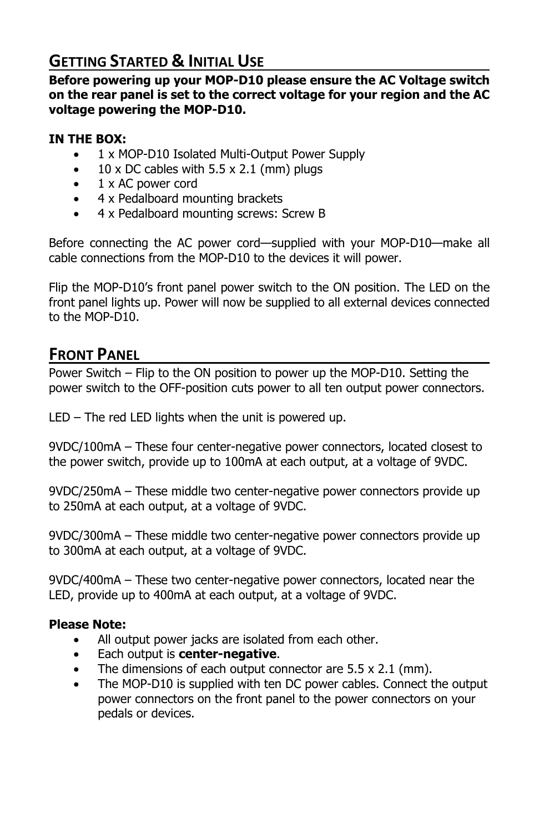# **GETTING STARTED & INITIAL USE**

**Before powering up your MOP-D10 please ensure the AC Voltage switch on the rear panel is set to the correct voltage for your region and the AC voltage powering the MOP-D10.** 

#### **IN THE BOX:**

- 1 x MOP-D10 Isolated Multi-Output Power Supply
- $10 \times$  DC cables with  $5.5 \times 2.1$  (mm) plugs
- 1 x AC power cord
- 4 x Pedalboard mounting brackets
- 4 x Pedalboard mounting screws: Screw B

Before connecting the AC power cord—supplied with your MOP-D10—make all cable connections from the MOP-D10 to the devices it will power.

Flip the MOP-D10's front panel power switch to the ON position. The LED on the front panel lights up. Power will now be supplied to all external devices connected to the MOP-D10.

#### **FRONT PANEL**

Power Switch – Flip to the ON position to power up the MOP-D10. Setting the power switch to the OFF-position cuts power to all ten output power connectors.

LED – The red LED lights when the unit is powered up.

9VDC/100mA – These four center-negative power connectors, located closest to the power switch, provide up to 100mA at each output, at a voltage of 9VDC.

9VDC/250mA – These middle two center-negative power connectors provide up to 250mA at each output, at a voltage of 9VDC.

9VDC/300mA – These middle two center-negative power connectors provide up to 300mA at each output, at a voltage of 9VDC.

9VDC/400mA – These two center-negative power connectors, located near the LED, provide up to 400mA at each output, at a voltage of 9VDC.

#### **Please Note:**

- All output power jacks are isolated from each other.
- Each output is **center-negative**.
- The dimensions of each output connector are  $5.5 \times 2.1$  (mm).
- The MOP-D10 is supplied with ten DC power cables. Connect the output power connectors on the front panel to the power connectors on your pedals or devices.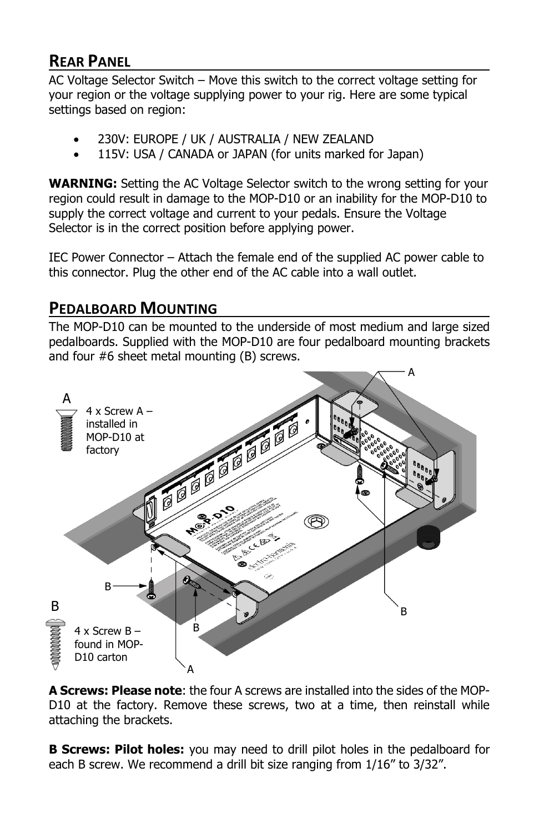## **REAR PANEL**

AC Voltage Selector Switch – Move this switch to the correct voltage setting for your region or the voltage supplying power to your rig. Here are some typical settings based on region:

- 230V: EUROPE / UK / AUSTRALIA / NEW ZEALAND
- 115V: USA / CANADA or JAPAN (for units marked for Japan)

**WARNING:** Setting the AC Voltage Selector switch to the wrong setting for your region could result in damage to the MOP-D10 or an inability for the MOP-D10 to supply the correct voltage and current to your pedals. Ensure the Voltage Selector is in the correct position before applying power.

IEC Power Connector – Attach the female end of the supplied AC power cable to this connector. Plug the other end of the AC cable into a wall outlet.

### **PEDALBOARD MOUNTING**

The MOP-D10 can be mounted to the underside of most medium and large sized pedalboards. Supplied with the MOP-D10 are four pedalboard mounting brackets and four #6 sheet metal mounting (B) screws.



**A Screws: Please note**: the four A screws are installed into the sides of the MOP-D10 at the factory. Remove these screws, two at a time, then reinstall while attaching the brackets.

**B Screws: Pilot holes:** you may need to drill pilot holes in the pedalboard for each B screw. We recommend a drill bit size ranging from 1/16" to 3/32".